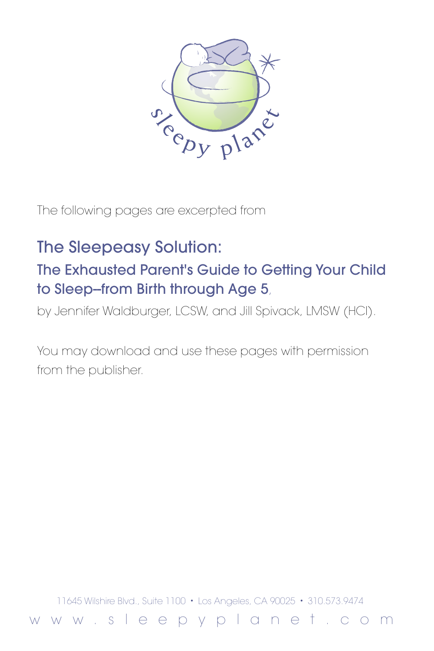

The following pages are excerpted from

# The Sleepeasy Solution:

# The Exhausted Parent's Guide to Getting Your Child to Sleep--from Birth through Age 5,

by Jennifer Waldburger, LCSW, and Jill Spivack, LMSW (HCI).

You may download and use these pages with permission from the publisher.

11645 Wilshire Blvd., Suite 1100 • Los Angeles, CA 90025 • 310.573.9474

w w w . s l e e p y p l a n e t . c o m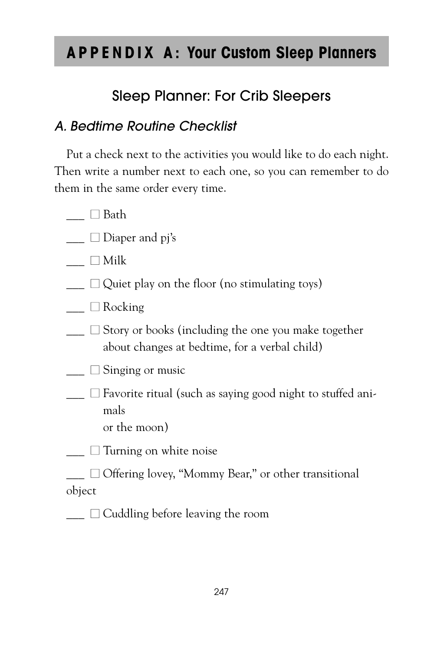# **APPENDIX A: Your Custom Sleep Planners**

## Sleep Planner: For Crib Sleepers

## A. Bedtime Routine Checklist

Put a check next to the activities you would like to do each night. Then write a number next to each one, so you can remember to do them in the same order every time.

- $\Box$  Bath
- $\Box$  Diaper and pj's
- $\Box$  Milk
- $\Box$   $\Box$  Quiet play on the floor (no stimulating toys)
- $\Box$  Rocking
- $\Box$  Story or books (including the one you make together about changes at bedtime, for a verbal child)
- $\Box$  Singing or music
- $\Box$  avorite ritual (such as saying good night to stuffed animals or the moon)

 $\Box$  Turning on white noise

 $\Box$  Offering lovey, "Mommy Bear," or other transitional object

 $\Box$   $\Box$  Cuddling before leaving the room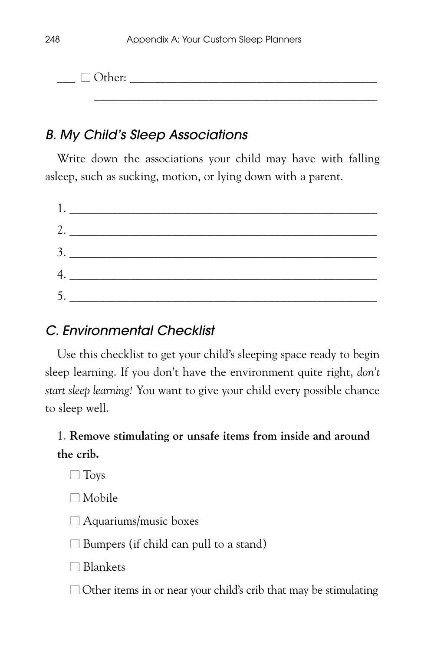\_\_\_\_\_\_\_\_\_\_\_\_\_\_\_\_\_\_\_\_\_\_\_\_\_\_\_\_\_\_\_\_\_\_\_\_\_\_\_\_\_\_\_\_\_\_\_

 $\Box$  Other:

## B. My Child's Sleep Associations

Write down the associations your child may have with falling asleep, such as sucking, motion, or lying down with a parent.

| $1.$ $\overline{\phantom{a}}$ |
|-------------------------------|
| 2.                            |
|                               |
|                               |
|                               |
|                               |

## C. Environmental Checklist

Use this checklist to get your child's sleeping space ready to begin sleep learning. If you don't have the environment quite right, *don't start sleep learning!* You want to give your child every possible chance to sleep well.

## 1. **Remove stimulating or unsafe items from inside and around the crib.**

 $\Box$  Toys

■ Mobile

 $\Box$  Aquariums/music boxes

 $\square$  Bumpers (if child can pull to a stand)

■ Blankets

 $\Box$  Other items in or near your child's crib that may be stimulating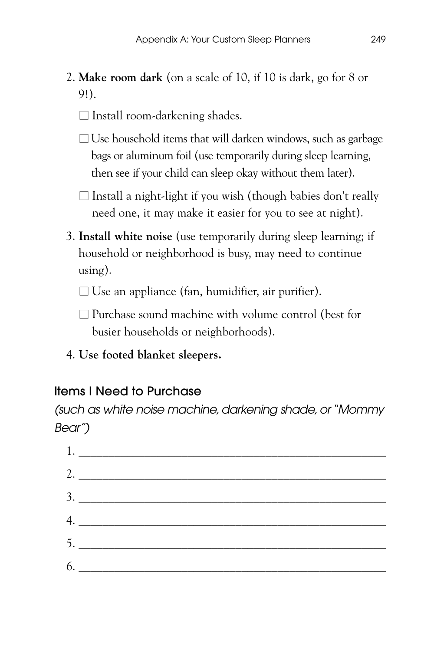- 2. **Make room dark** (on a scale of 10, if 10 is dark, go for 8 or 9!).
	- $\Box$  Install room-darkening shades.
	- $\Box$  Use household items that will darken windows, such as garbage bags or aluminum foil (use temporarily during sleep learning, then see if your child can sleep okay without them later).
	- $\Box$  Install a night-light if you wish (though babies don't really need one, it may make it easier for you to see at night).
- 3. **Install white noise** (use temporarily during sleep learning; if household or neighborhood is busy, may need to continue using).
	- $\Box$  Use an appliance (fan, humidifier, air purifier).
	- $\Box$  Purchase sound machine with volume control (best for busier households or neighborhoods).
- 4. **Use footed blanket sleepers.**

### Items I Need to Purchase

(such as white noise machine, darkening shade, or "Mommy Bear")

| 2. $\qquad \qquad$ |  |  |
|--------------------|--|--|
|                    |  |  |
|                    |  |  |
|                    |  |  |
|                    |  |  |
|                    |  |  |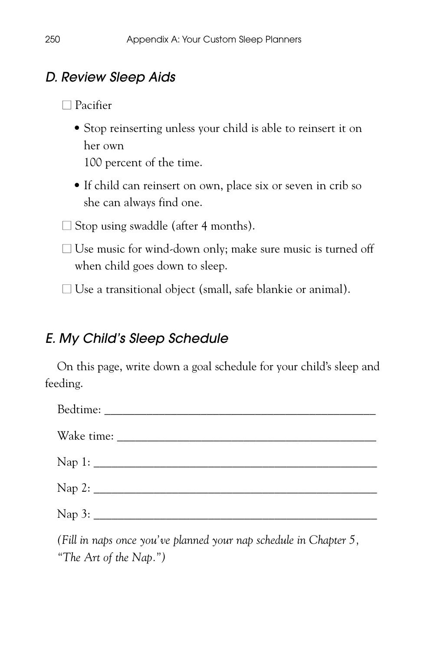## D. Review Sleep Aids

■ Pacifier

• Stop reinserting unless your child is able to reinsert it on her own

100 percent of the time.

• If child can reinsert on own, place six or seven in crib so she can always find one.

 $\Box$  Stop using swaddle (after 4 months).

 $\Box$  Use music for wind-down only; make sure music is turned off when child goes down to sleep.

 $\Box$  Use a transitional object (small, safe blankie or animal).

## E. My Child's Sleep Schedule

On this page, write down a goal schedule for your child's sleep and feeding.

*(Fill in naps once you've planned your nap schedule in Chapter 5, "The Art of the Nap.")*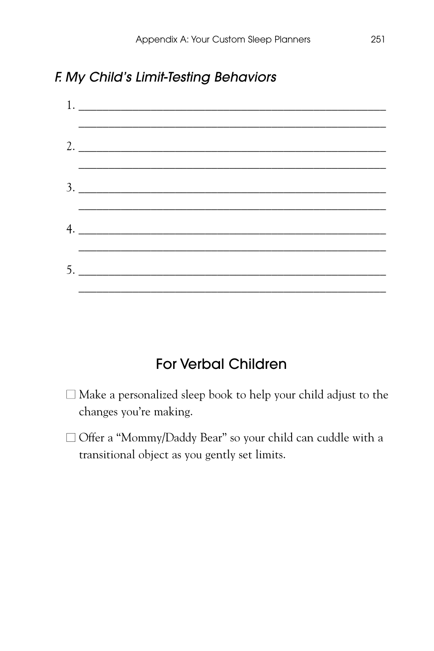### F. My Child's Limit-Testing Behaviors

| $1.$ $\overline{\phantom{a}}$<br>the contract of the contract of the |                         |
|----------------------------------------------------------------------|-------------------------|
|                                                                      |                         |
| 2. $\frac{1}{2}$                                                     |                         |
|                                                                      |                         |
|                                                                      |                         |
|                                                                      |                         |
| $4. \_$                                                              |                         |
|                                                                      | the control of the con- |
|                                                                      |                         |
|                                                                      |                         |

## For Verbal Children

- $\Box$  Make a personalized sleep book to help your child adjust to the changes you're making.
- □ Offer a "Mommy/Daddy Bear" so your child can cuddle with a transitional object as you gently set limits.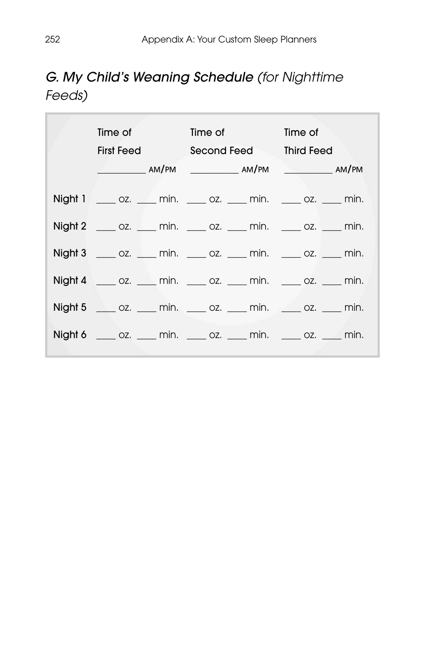## G. My Child's Weaning Schedule (for Nighttime Feeds)

| Time of the state of the state of                                        |             | Time of the control of the control of the control of the control of the control of the control of the control o | Time of           |  |
|--------------------------------------------------------------------------|-------------|-----------------------------------------------------------------------------------------------------------------|-------------------|--|
| First Feed                                                               | Second Feed |                                                                                                                 | <b>Third Feed</b> |  |
|                                                                          |             |                                                                                                                 |                   |  |
|                                                                          |             |                                                                                                                 |                   |  |
| $Night 1 \t 02.$ $min.$ $OZ.$ $min.$ $OZ.$ $min.$ $OZ.$ $min.$           |             |                                                                                                                 |                   |  |
| $Night 2$ _____ oz. _____ min. _____ oz. _____ min. _____ oz. _____ min. |             |                                                                                                                 |                   |  |
| Night 3 ____ oz. ____ min. ____ oz. ____ min. ____ oz. ____ min.         |             |                                                                                                                 |                   |  |
| $Night 4$ _____ oz. _____ min. _____ oz. _____ min. _____ oz. _____ min. |             |                                                                                                                 |                   |  |
| Night 5 _____ oz. ____ min. ____ oz. ____ min. _____ oz. ____ min.       |             |                                                                                                                 |                   |  |
| $Night 6$ _____ oz. _____ min. _____ oz. _____ min. _____ oz. _____ min. |             |                                                                                                                 |                   |  |
|                                                                          |             |                                                                                                                 |                   |  |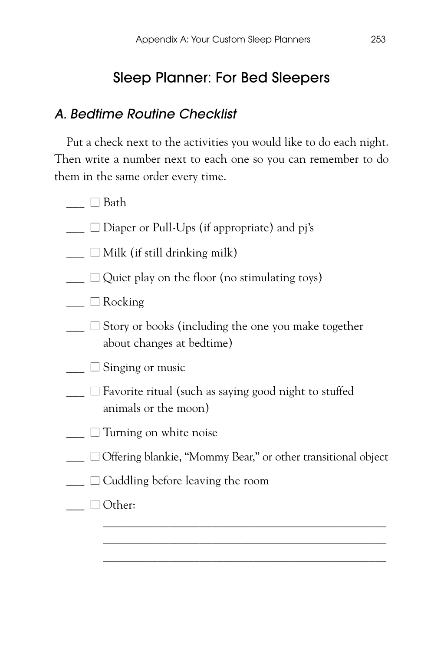## Sleep Planner: For Bed Sleepers

### A. Bedtime Routine Checklist

Put a check next to the activities you would like to do each night. Then write a number next to each one so you can remember to do them in the same order every time.

- $\Box$  Bath
- $\Box$   $\Box$  Diaper or Pull-Ups (if appropriate) and pj's
- $\Box$  Milk (if still drinking milk)
- $\Box$  Quiet play on the floor (no stimulating toys)
- $\Box$  Rocking
- $\Box$  Story or books (including the one you make together about changes at bedtime)
- $\Box$  Singing or music
- $\Box$  Favorite ritual (such as saying good night to stuffed animals or the moon)
- $\Box$  Turning on white noise
- □ Offering blankie, "Mommy Bear," or other transitional object

\_\_\_\_\_\_\_\_\_\_\_\_\_\_\_\_\_\_\_\_\_\_\_\_\_\_\_\_\_\_\_\_\_\_\_\_\_\_\_\_\_\_\_\_\_\_\_ \_\_\_\_\_\_\_\_\_\_\_\_\_\_\_\_\_\_\_\_\_\_\_\_\_\_\_\_\_\_\_\_\_\_\_\_\_\_\_\_\_\_\_\_\_\_\_ \_\_\_\_\_\_\_\_\_\_\_\_\_\_\_\_\_\_\_\_\_\_\_\_\_\_\_\_\_\_\_\_\_\_\_\_\_\_\_\_\_\_\_\_\_\_\_

- $\Box$   $\Box$  Cuddling before leaving the room
- $\Box$  Other: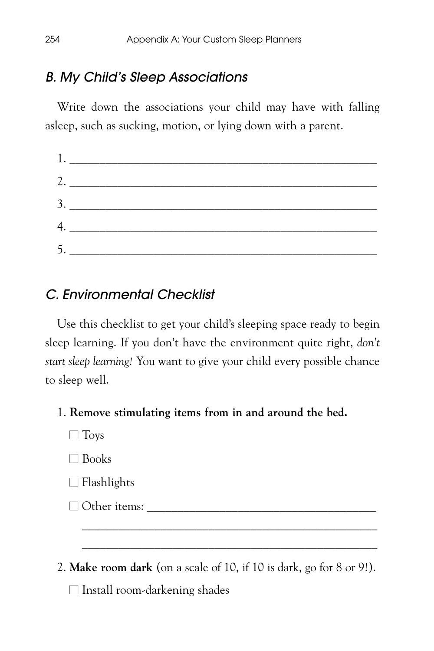### B. My Child's Sleep Associations

Write down the associations your child may have with falling asleep, such as sucking, motion, or lying down with a parent.

| 2. $\frac{1}{\sqrt{1-\frac{1}{2}}\left\vert \frac{1}{2}\right\vert +\frac{1}{2}}$ |  |  |
|-----------------------------------------------------------------------------------|--|--|
|                                                                                   |  |  |
|                                                                                   |  |  |
|                                                                                   |  |  |
| 5.                                                                                |  |  |

### C. Environmental Checklist

Use this checklist to get your child's sleeping space ready to begin sleep learning. If you don't have the environment quite right, *don't start sleep learning!* You want to give your child every possible chance to sleep well.

#### 1. **Remove stimulating items from in and around the bed.**

- $\Box$  Toys
- Books
- $\Box$  Flashlights
- $\Box$  Other items:
- 2. **Make room dark** (on a scale of 10, if 10 is dark, go for 8 or 9!).

\_\_\_\_\_\_\_\_\_\_\_\_\_\_\_\_\_\_\_\_\_\_\_\_\_\_\_\_\_\_\_\_\_\_\_\_\_\_\_\_\_\_\_\_\_\_\_\_\_ \_\_\_\_\_\_\_\_\_\_\_\_\_\_\_\_\_\_\_\_\_\_\_\_\_\_\_\_\_\_\_\_\_\_\_\_\_\_\_\_\_\_\_\_\_\_\_\_\_

 $\Box$  Install room-darkening shades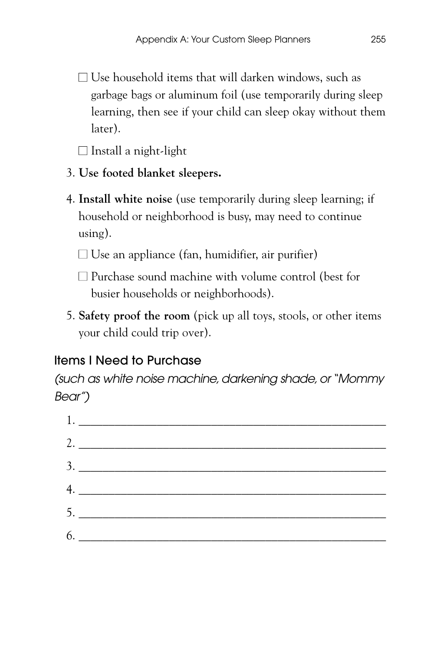$\Box$  Use household items that will darken windows, such as garbage bags or aluminum foil (use temporarily during sleep learning, then see if your child can sleep okay without them later).

 $\Box$  Install a night-light

- 3. **Use footed blanket sleepers.**
- 4. **Install white noise** (use temporarily during sleep learning; if household or neighborhood is busy, may need to continue using).

 $\square$  Use an appliance (fan, humidifier, air purifier)

- $\Box$  Purchase sound machine with volume control (best for busier households or neighborhoods).
- 5. **Safety proof the room** (pick up all toys, stools, or other items your child could trip over).

## Items I Need to Purchase

(such as white noise machine, darkening shade, or "Mommy Bear")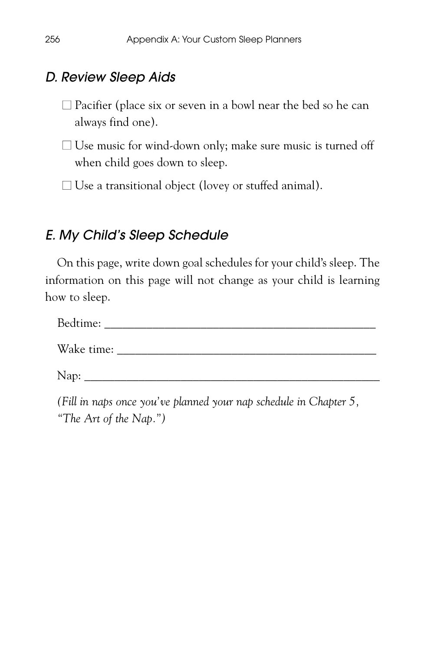### D. Review Sleep Aids

 $\square$  Pacifier (place six or seven in a bowl near the bed so he can always find one).

 $\Box$  Use music for wind-down only; make sure music is turned off when child goes down to sleep.

 $\Box$  Use a transitional object (lovey or stuffed animal).

## E. My Child's Sleep Schedule

On this page, write down goal schedules for your child's sleep. The information on this page will not change as your child is learning how to sleep.

| Bedtime:   |  |  |
|------------|--|--|
| Wake time: |  |  |
| Nap:       |  |  |

*(Fill in naps once you've planned your nap schedule in Chapter 5, "The Art of the Nap.")*